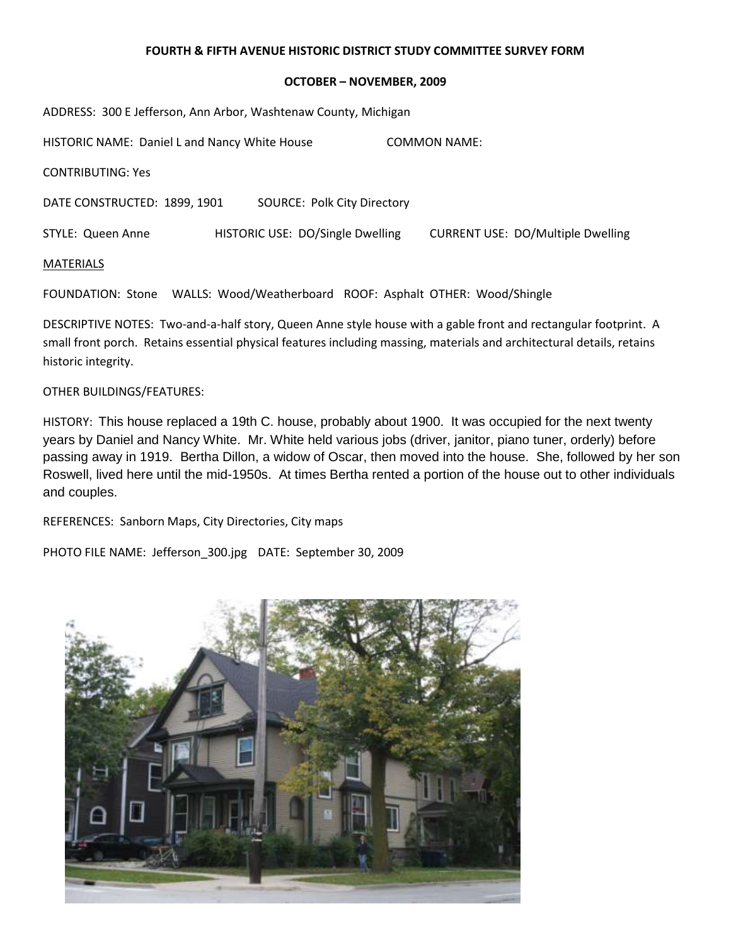#### **OCTOBER – NOVEMBER, 2009**

| ADDRESS: 300 E Jefferson, Ann Arbor, Washtenaw County, Michigan |                                    |                                          |  |  |  |  |
|-----------------------------------------------------------------|------------------------------------|------------------------------------------|--|--|--|--|
| HISTORIC NAME: Daniel L and Nancy White House                   |                                    | COMMON NAME:                             |  |  |  |  |
| <b>CONTRIBUTING: Yes</b>                                        |                                    |                                          |  |  |  |  |
| DATE CONSTRUCTED: 1899, 1901                                    | <b>SOURCE: Polk City Directory</b> |                                          |  |  |  |  |
| STYLE: Queen Anne                                               | HISTORIC USE: DO/Single Dwelling   | <b>CURRENT USE: DO/Multiple Dwelling</b> |  |  |  |  |
| <b>MATERIALS</b>                                                |                                    |                                          |  |  |  |  |

FOUNDATION: Stone WALLS: Wood/Weatherboard ROOF: Asphalt OTHER: Wood/Shingle

DESCRIPTIVE NOTES: Two-and-a-half story, Queen Anne style house with a gable front and rectangular footprint. A small front porch. Retains essential physical features including massing, materials and architectural details, retains historic integrity.

OTHER BUILDINGS/FEATURES:

HISTORY: This house replaced a 19th C. house, probably about 1900. It was occupied for the next twenty years by Daniel and Nancy White. Mr. White held various jobs (driver, janitor, piano tuner, orderly) before passing away in 1919. Bertha Dillon, a widow of Oscar, then moved into the house. She, followed by her son Roswell, lived here until the mid-1950s. At times Bertha rented a portion of the house out to other individuals and couples.

REFERENCES: Sanborn Maps, City Directories, City maps

PHOTO FILE NAME: Jefferson\_300.jpg DATE: September 30, 2009

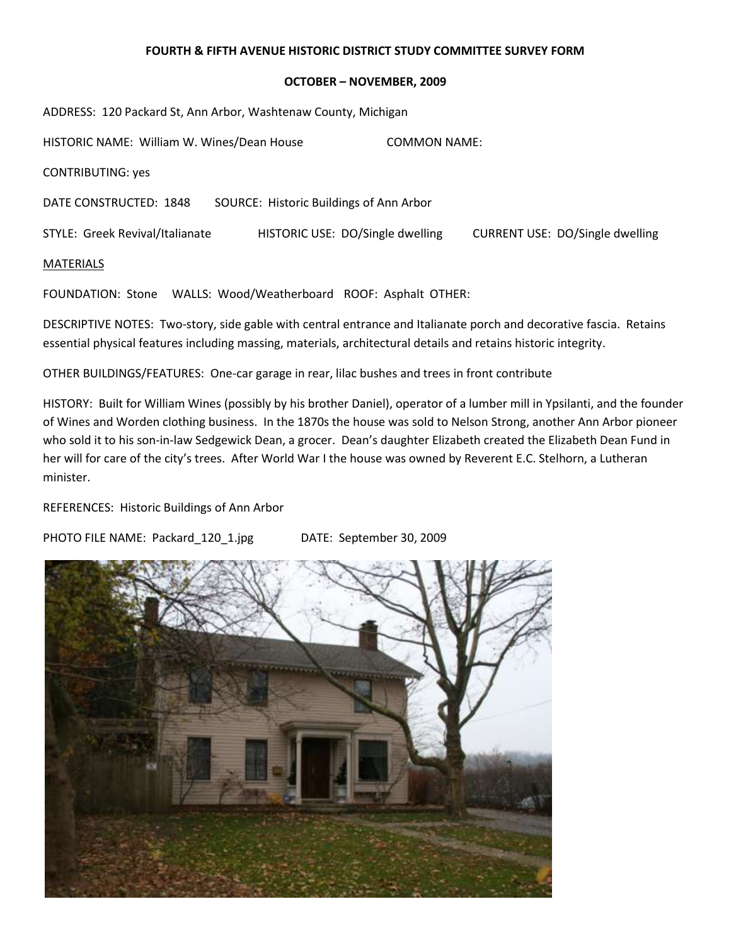#### **OCTOBER – NOVEMBER, 2009**

| ADDRESS: 120 Packard St, Ann Arbor, Washtenaw County, Michigan |                                         |                     |                                        |
|----------------------------------------------------------------|-----------------------------------------|---------------------|----------------------------------------|
| HISTORIC NAME: William W. Wines/Dean House                     |                                         | <b>COMMON NAME:</b> |                                        |
| <b>CONTRIBUTING: yes</b>                                       |                                         |                     |                                        |
| DATE CONSTRUCTED: 1848                                         | SOURCE: Historic Buildings of Ann Arbor |                     |                                        |
| STYLE: Greek Revival/Italianate                                | HISTORIC USE: DO/Single dwelling        |                     | <b>CURRENT USE: DO/Single dwelling</b> |
| <b>MATERIALS</b>                                               |                                         |                     |                                        |

FOUNDATION: Stone WALLS: Wood/Weatherboard ROOF: Asphalt OTHER:

DESCRIPTIVE NOTES: Two-story, side gable with central entrance and Italianate porch and decorative fascia. Retains essential physical features including massing, materials, architectural details and retains historic integrity.

OTHER BUILDINGS/FEATURES: One-car garage in rear, lilac bushes and trees in front contribute

HISTORY: Built for William Wines (possibly by his brother Daniel), operator of a lumber mill in Ypsilanti, and the founder of Wines and Worden clothing business. In the 1870s the house was sold to Nelson Strong, another Ann Arbor pioneer who sold it to his son-in-law Sedgewick Dean, a grocer. Dean's daughter Elizabeth created the Elizabeth Dean Fund in her will for care of the city's trees. After World War I the house was owned by Reverent E.C. Stelhorn, a Lutheran minister.

REFERENCES: Historic Buildings of Ann Arbor

PHOTO FILE NAME: Packard\_120\_1.jpg DATE: September 30, 2009

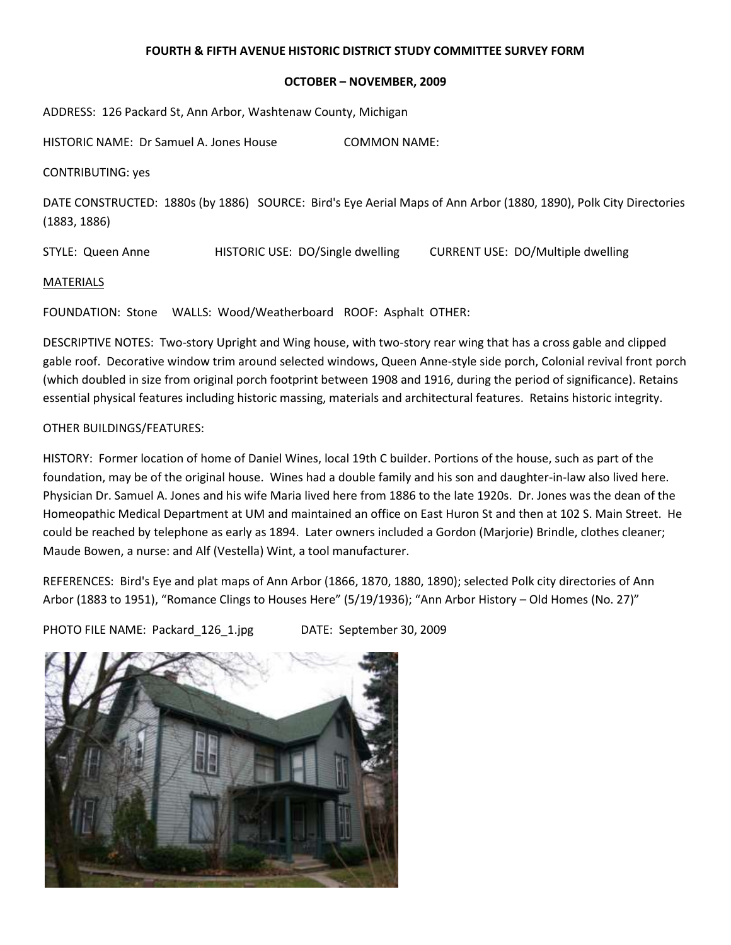### **OCTOBER – NOVEMBER, 2009**

ADDRESS: 126 Packard St, Ann Arbor, Washtenaw County, Michigan

HISTORIC NAME: Dr Samuel A. Jones House COMMON NAME:

CONTRIBUTING: yes

DATE CONSTRUCTED: 1880s (by 1886) SOURCE: Bird's Eye Aerial Maps of Ann Arbor (1880, 1890), Polk City Directories (1883, 1886)

STYLE: Queen Anne HISTORIC USE: DO/Single dwelling CURRENT USE: DO/Multiple dwelling

#### **MATERIALS**

FOUNDATION: Stone WALLS: Wood/Weatherboard ROOF: Asphalt OTHER:

DESCRIPTIVE NOTES: Two-story Upright and Wing house, with two-story rear wing that has a cross gable and clipped gable roof. Decorative window trim around selected windows, Queen Anne-style side porch, Colonial revival front porch (which doubled in size from original porch footprint between 1908 and 1916, during the period of significance). Retains essential physical features including historic massing, materials and architectural features. Retains historic integrity.

# OTHER BUILDINGS/FEATURES:

HISTORY: Former location of home of Daniel Wines, local 19th C builder. Portions of the house, such as part of the foundation, may be of the original house. Wines had a double family and his son and daughter-in-law also lived here. Physician Dr. Samuel A. Jones and his wife Maria lived here from 1886 to the late 1920s. Dr. Jones was the dean of the Homeopathic Medical Department at UM and maintained an office on East Huron St and then at 102 S. Main Street. He could be reached by telephone as early as 1894. Later owners included a Gordon (Marjorie) Brindle, clothes cleaner; Maude Bowen, a nurse: and Alf (Vestella) Wint, a tool manufacturer.

REFERENCES: Bird's Eye and plat maps of Ann Arbor (1866, 1870, 1880, 1890); selected Polk city directories of Ann Arbor (1883 to 1951), "Romance Clings to Houses Here" (5/19/1936); "Ann Arbor History – Old Homes (No. 27)"

PHOTO FILE NAME: Packard\_126\_1.jpg DATE: September 30, 2009

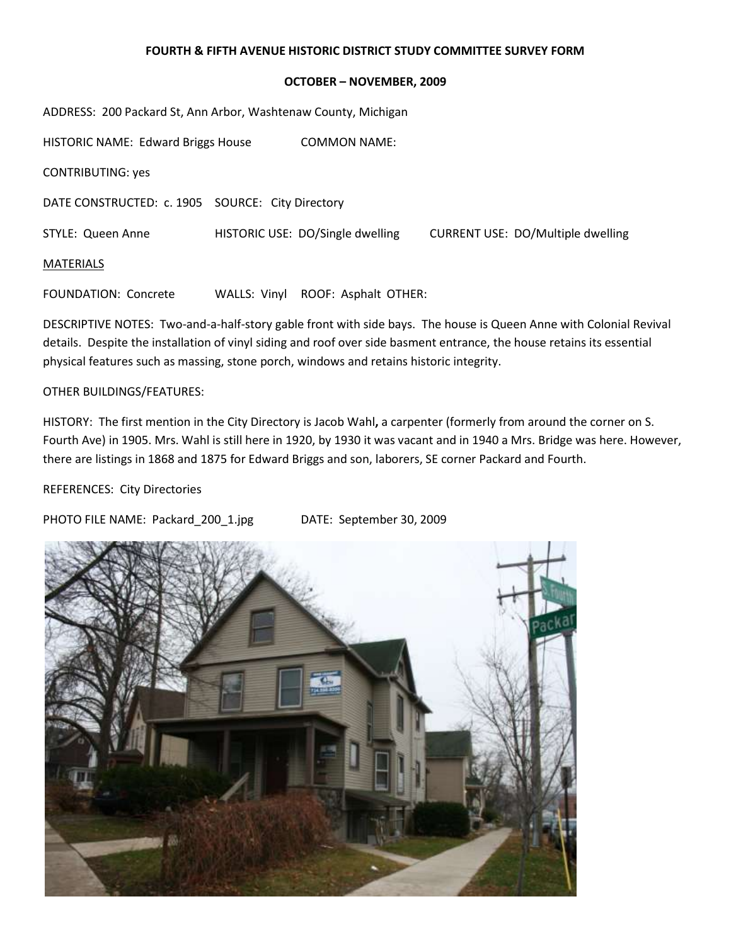### **OCTOBER – NOVEMBER, 2009**

| ADDRESS: 200 Packard St, Ann Arbor, Washtenaw County, Michigan |              |                                  |                                          |  |  |
|----------------------------------------------------------------|--------------|----------------------------------|------------------------------------------|--|--|
| <b>HISTORIC NAME: Edward Briggs House</b>                      |              | <b>COMMON NAME:</b>              |                                          |  |  |
| <b>CONTRIBUTING: yes</b>                                       |              |                                  |                                          |  |  |
| DATE CONSTRUCTED: c. 1905 SOURCE: City Directory               |              |                                  |                                          |  |  |
| STYLE: Queen Anne                                              |              | HISTORIC USE: DO/Single dwelling | <b>CURRENT USE: DO/Multiple dwelling</b> |  |  |
| <b>MATERIALS</b>                                               |              |                                  |                                          |  |  |
| <b>FOUNDATION: Concrete</b>                                    | WALLS: Vinyl | ROOF: Asphalt OTHER:             |                                          |  |  |

DESCRIPTIVE NOTES: Two-and-a-half-story gable front with side bays. The house is Queen Anne with Colonial Revival details. Despite the installation of vinyl siding and roof over side basment entrance, the house retains its essential physical features such as massing, stone porch, windows and retains historic integrity.

## OTHER BUILDINGS/FEATURES:

HISTORY: The first mention in the City Directory is Jacob Wahl**,** a carpenter (formerly from around the corner on S. Fourth Ave) in 1905. Mrs. Wahl is still here in 1920, by 1930 it was vacant and in 1940 a Mrs. Bridge was here. However, there are listings in 1868 and 1875 for Edward Briggs and son, laborers, SE corner Packard and Fourth.

# REFERENCES: City Directories

PHOTO FILE NAME: Packard 200 1.jpg DATE: September 30, 2009

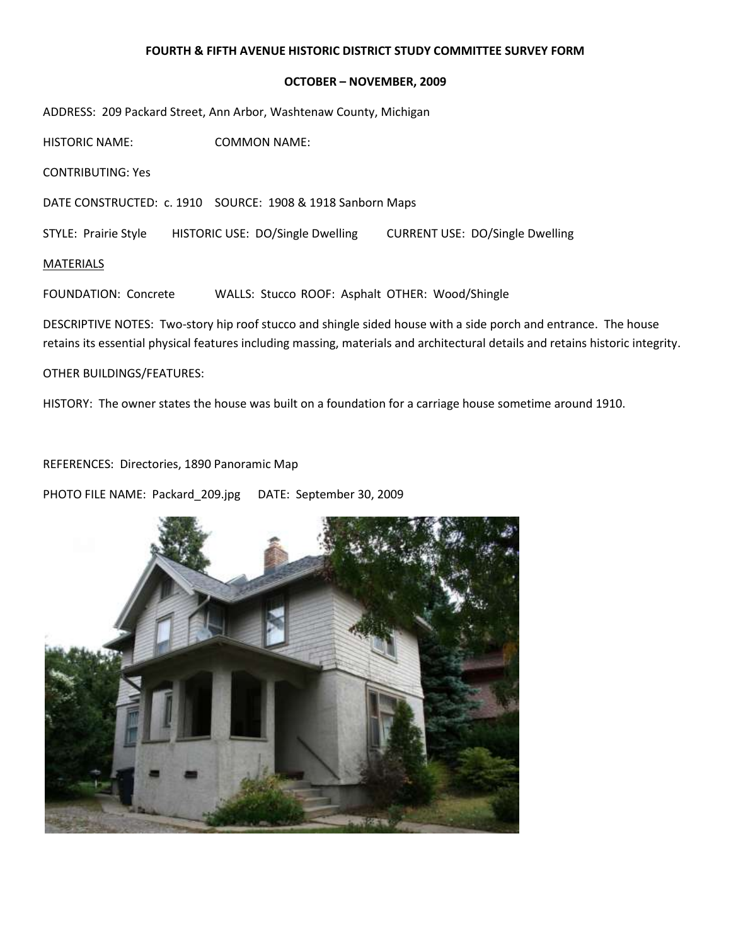#### **OCTOBER – NOVEMBER, 2009**

ADDRESS: 209 Packard Street, Ann Arbor, Washtenaw County, Michigan

HISTORIC NAME: COMMON NAME:

CONTRIBUTING: Yes

DATE CONSTRUCTED: c. 1910 SOURCE: 1908 & 1918 Sanborn Maps

STYLE: Prairie Style HISTORIC USE: DO/Single Dwelling CURRENT USE: DO/Single Dwelling

MATERIALS

FOUNDATION: Concrete WALLS: Stucco ROOF: Asphalt OTHER: Wood/Shingle

DESCRIPTIVE NOTES: Two-story hip roof stucco and shingle sided house with a side porch and entrance. The house retains its essential physical features including massing, materials and architectural details and retains historic integrity.

OTHER BUILDINGS/FEATURES:

HISTORY: The owner states the house was built on a foundation for a carriage house sometime around 1910.

REFERENCES: Directories, 1890 Panoramic Map

PHOTO FILE NAME: Packard\_209.jpg DATE: September 30, 2009

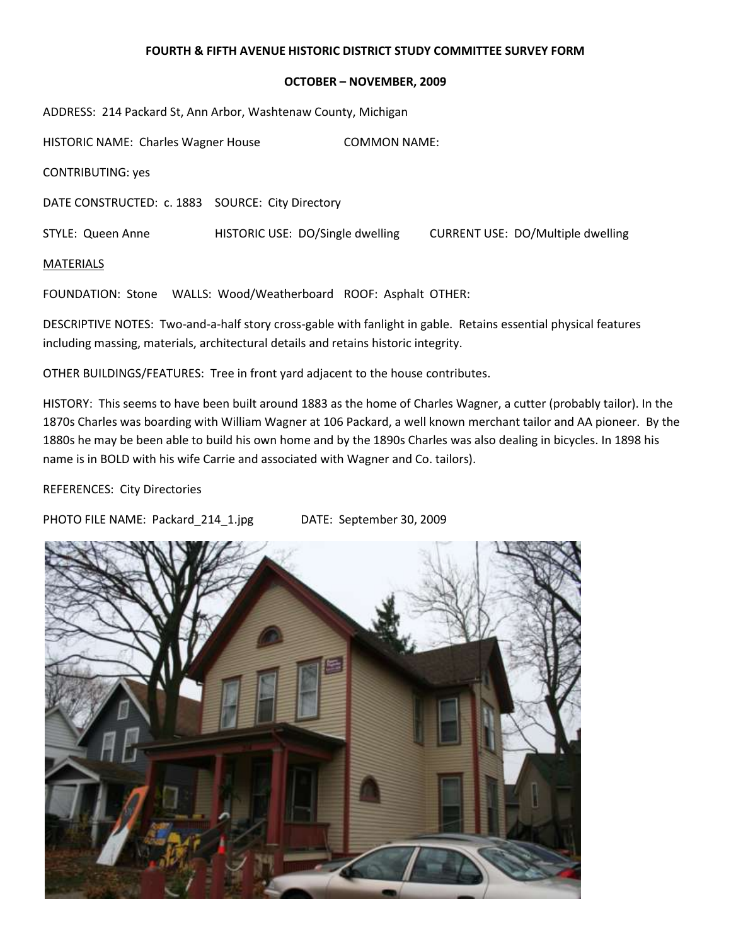### **OCTOBER – NOVEMBER, 2009**

ADDRESS: 214 Packard St, Ann Arbor, Washtenaw County, Michigan

HISTORIC NAME: Charles Wagner House COMMON NAME: CONTRIBUTING: yes DATE CONSTRUCTED: c. 1883 SOURCE: City Directory STYLE: Queen Anne HISTORIC USE: DO/Single dwelling CURRENT USE: DO/Multiple dwelling MATERIALS

FOUNDATION: Stone WALLS: Wood/Weatherboard ROOF: Asphalt OTHER:

DESCRIPTIVE NOTES: Two-and-a-half story cross-gable with fanlight in gable. Retains essential physical features including massing, materials, architectural details and retains historic integrity.

OTHER BUILDINGS/FEATURES: Tree in front yard adjacent to the house contributes.

HISTORY: This seems to have been built around 1883 as the home of Charles Wagner, a cutter (probably tailor). In the 1870s Charles was boarding with William Wagner at 106 Packard, a well known merchant tailor and AA pioneer. By the 1880s he may be been able to build his own home and by the 1890s Charles was also dealing in bicycles. In 1898 his name is in BOLD with his wife Carrie and associated with Wagner and Co. tailors).

REFERENCES: City Directories

PHOTO FILE NAME: Packard 214 1.jpg DATE: September 30, 2009

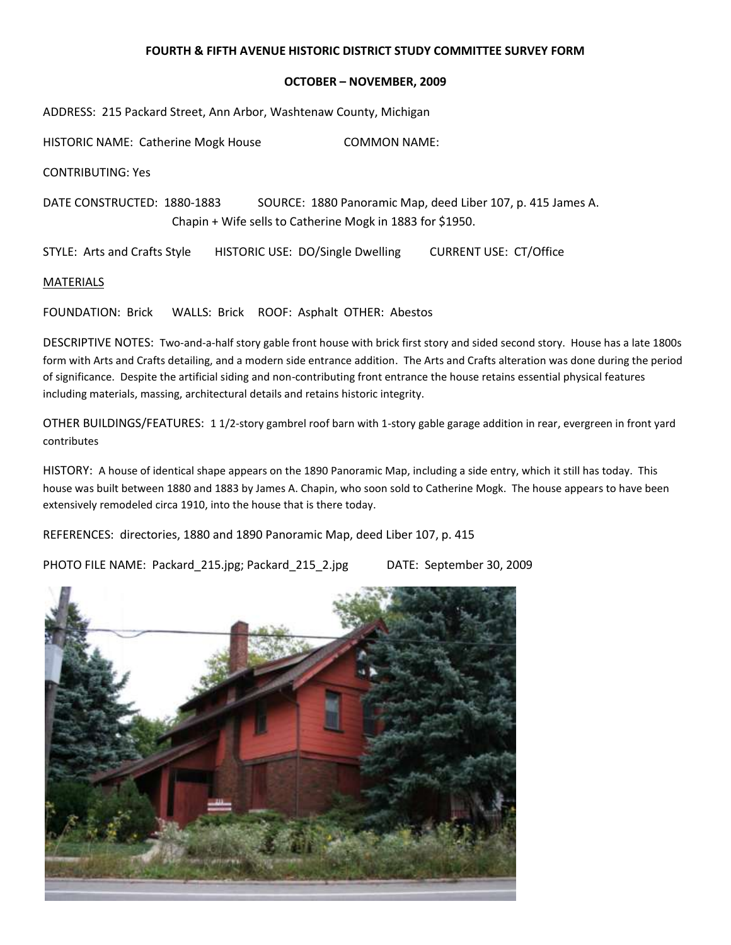### **OCTOBER – NOVEMBER, 2009**

ADDRESS: 215 Packard Street, Ann Arbor, Washtenaw County, Michigan

HISTORIC NAME: Catherine Mogk House COMMON NAME:

CONTRIBUTING: Yes

DATE CONSTRUCTED: 1880-1883 SOURCE: 1880 Panoramic Map, deed Liber 107, p. 415 James A. Chapin + Wife sells to Catherine Mogk in 1883 for \$1950.

STYLE: Arts and Crafts Style HISTORIC USE: DO/Single Dwelling CURRENT USE: CT/Office

**MATERIALS** 

FOUNDATION: Brick WALLS: Brick ROOF: Asphalt OTHER: Abestos

DESCRIPTIVE NOTES: Two-and-a-half story gable front house with brick first story and sided second story. House has a late 1800s form with Arts and Crafts detailing, and a modern side entrance addition. The Arts and Crafts alteration was done during the period of significance. Despite the artificial siding and non-contributing front entrance the house retains essential physical features including materials, massing, architectural details and retains historic integrity.

OTHER BUILDINGS/FEATURES: 1 1/2-story gambrel roof barn with 1-story gable garage addition in rear, evergreen in front yard contributes

HISTORY: A house of identical shape appears on the 1890 Panoramic Map, including a side entry, which it still has today. This house was built between 1880 and 1883 by James A. Chapin, who soon sold to Catherine Mogk. The house appears to have been extensively remodeled circa 1910, into the house that is there today.

REFERENCES: directories, 1880 and 1890 Panoramic Map, deed Liber 107, p. 415

PHOTO FILE NAME: Packard\_215.jpg; Packard\_215\_2.jpg DATE: September 30, 2009

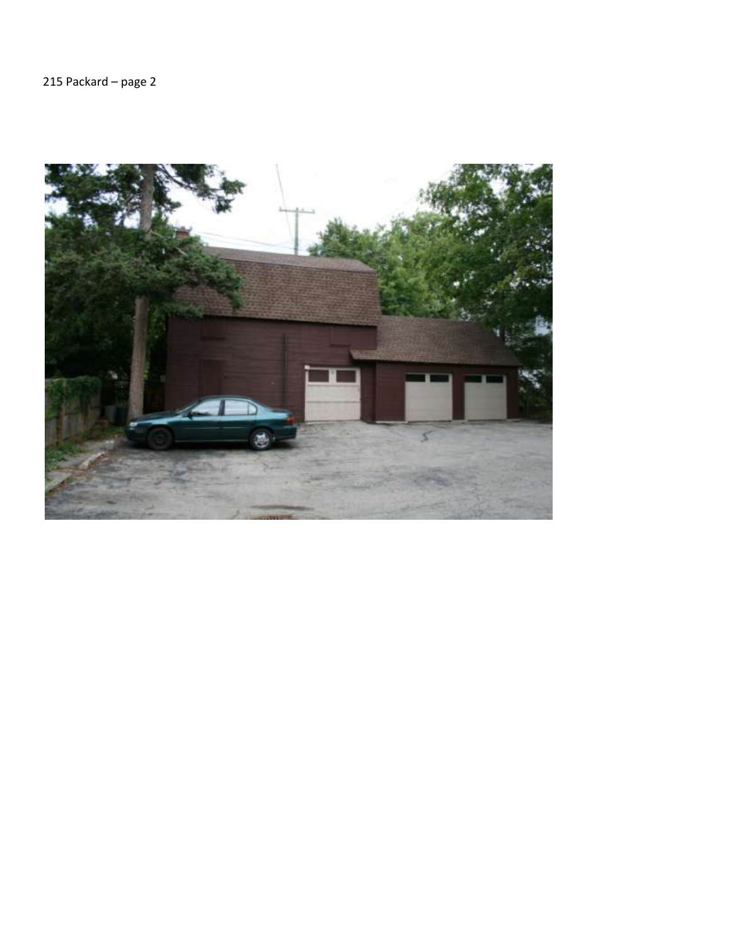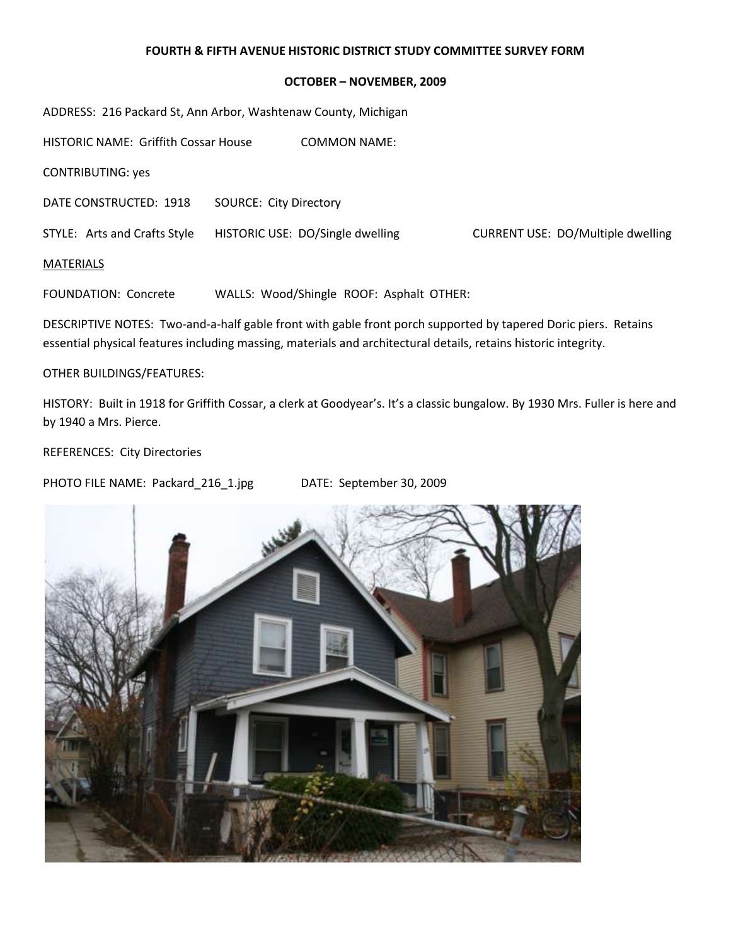### **OCTOBER – NOVEMBER, 2009**

ADDRESS: 216 Packard St, Ann Arbor, Washtenaw County, Michigan

HISTORIC NAME: Griffith Cossar House COMMON NAME:

CONTRIBUTING: yes

DATE CONSTRUCTED: 1918 SOURCE: City Directory

STYLE: Arts and Crafts Style HISTORIC USE: DO/Single dwelling CURRENT USE: DO/Multiple dwelling

MATERIALS

FOUNDATION: Concrete WALLS: Wood/Shingle ROOF: Asphalt OTHER:

DESCRIPTIVE NOTES: Two-and-a-half gable front with gable front porch supported by tapered Doric piers. Retains essential physical features including massing, materials and architectural details, retains historic integrity.

OTHER BUILDINGS/FEATURES:

HISTORY: Built in 1918 for Griffith Cossar, a clerk at Goodyear's. It's a classic bungalow. By 1930 Mrs. Fuller is here and by 1940 a Mrs. Pierce.

REFERENCES: City Directories

PHOTO FILE NAME: Packard\_216\_1.jpg DATE: September 30, 2009

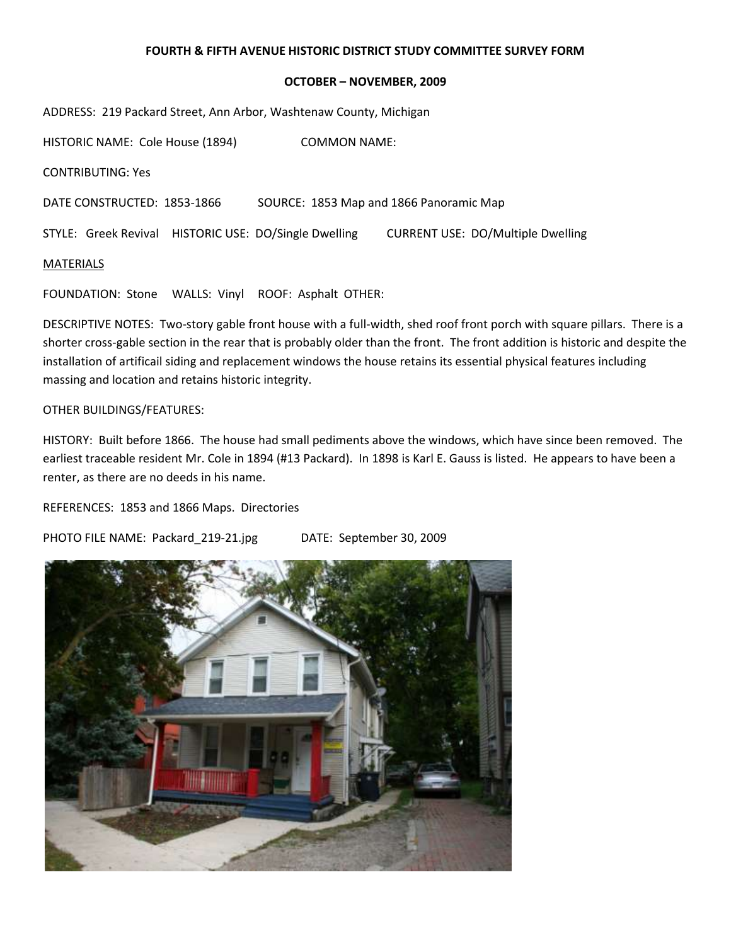#### **OCTOBER – NOVEMBER, 2009**

ADDRESS: 219 Packard Street, Ann Arbor, Washtenaw County, Michigan

HISTORIC NAME: Cole House (1894) COMMON NAME: CONTRIBUTING: Yes DATE CONSTRUCTED: 1853-1866 SOURCE: 1853 Map and 1866 Panoramic Map STYLE: Greek Revival HISTORIC USE: DO/Single Dwelling CURRENT USE: DO/Multiple Dwelling MATERIALS

FOUNDATION: Stone WALLS: Vinyl ROOF: Asphalt OTHER:

DESCRIPTIVE NOTES: Two-story gable front house with a full-width, shed roof front porch with square pillars. There is a shorter cross-gable section in the rear that is probably older than the front. The front addition is historic and despite the installation of artificail siding and replacement windows the house retains its essential physical features including massing and location and retains historic integrity.

#### OTHER BUILDINGS/FEATURES:

HISTORY: Built before 1866. The house had small pediments above the windows, which have since been removed. The earliest traceable resident Mr. Cole in 1894 (#13 Packard). In 1898 is Karl E. Gauss is listed. He appears to have been a renter, as there are no deeds in his name.

REFERENCES: 1853 and 1866 Maps. Directories

PHOTO FILE NAME: Packard\_219-21.jpg DATE: September 30, 2009

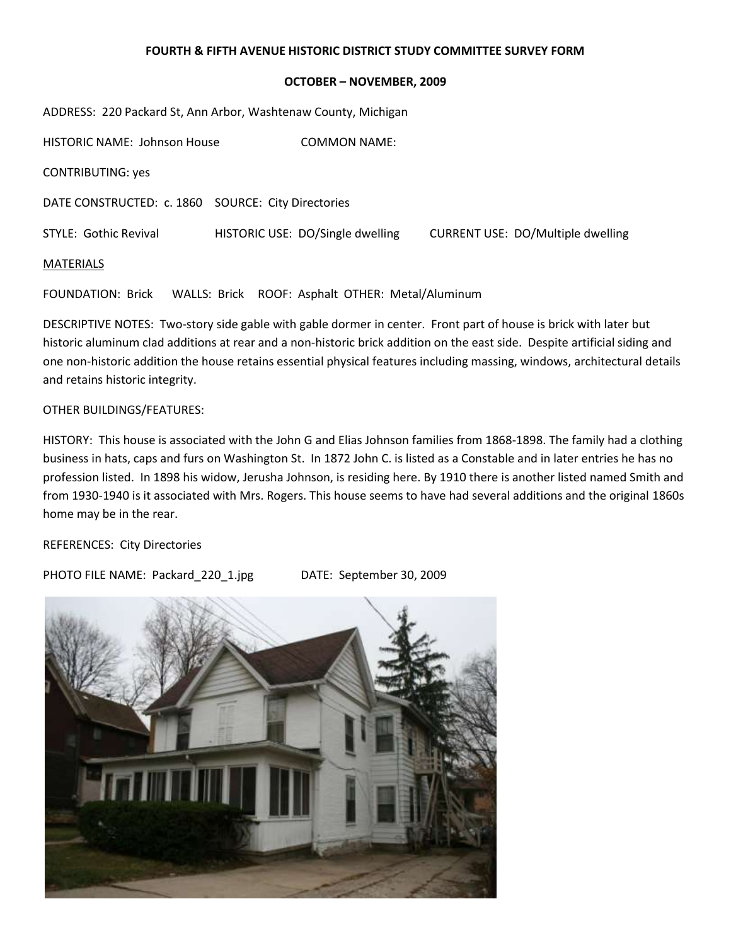### **OCTOBER – NOVEMBER, 2009**

ADDRESS: 220 Packard St, Ann Arbor, Washtenaw County, Michigan

HISTORIC NAME: Johnson House COMMON NAME: CONTRIBUTING: yes DATE CONSTRUCTED: c. 1860 SOURCE: City Directories STYLE: Gothic Revival HISTORIC USE: DO/Single dwelling CURRENT USE: DO/Multiple dwelling MATERIALS

FOUNDATION: Brick WALLS: Brick ROOF: Asphalt OTHER: Metal/Aluminum

DESCRIPTIVE NOTES: Two-story side gable with gable dormer in center. Front part of house is brick with later but historic aluminum clad additions at rear and a non-historic brick addition on the east side. Despite artificial siding and one non-historic addition the house retains essential physical features including massing, windows, architectural details and retains historic integrity.

# OTHER BUILDINGS/FEATURES:

HISTORY: This house is associated with the John G and Elias Johnson families from 1868-1898. The family had a clothing business in hats, caps and furs on Washington St. In 1872 John C. is listed as a Constable and in later entries he has no profession listed. In 1898 his widow, Jerusha Johnson, is residing here. By 1910 there is another listed named Smith and from 1930-1940 is it associated with Mrs. Rogers. This house seems to have had several additions and the original 1860s home may be in the rear.

REFERENCES: City Directories

PHOTO FILE NAME: Packard\_220\_1.jpg DATE: September 30, 2009

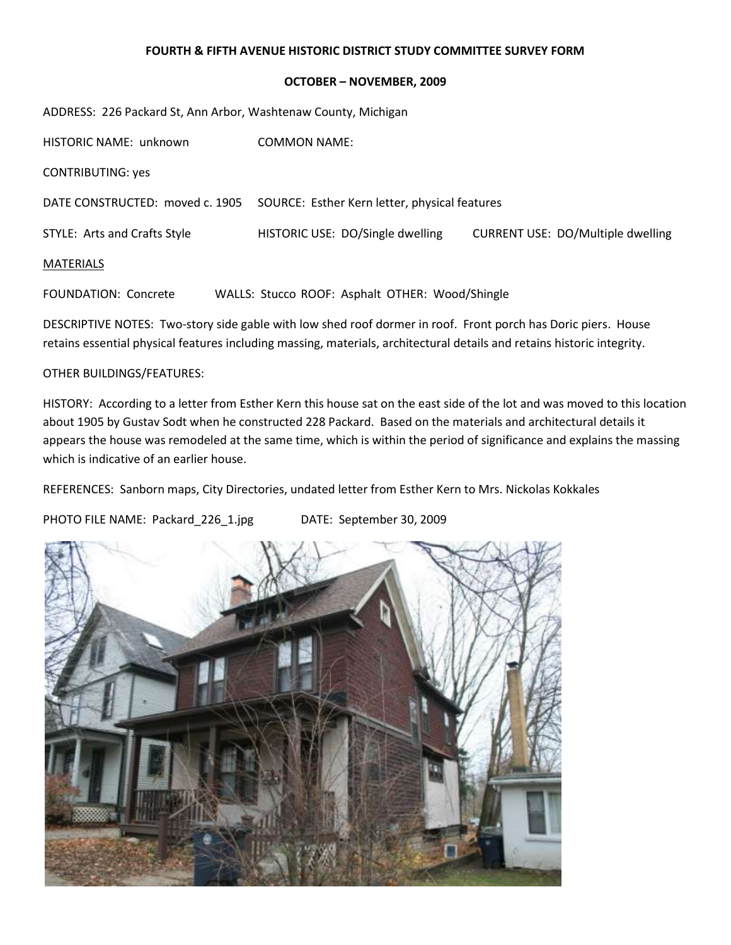## **OCTOBER – NOVEMBER, 2009**

| ADDRESS: 226 Packard St, Ann Arbor, Washtenaw County, Michigan |                                                 |                                          |  |  |  |
|----------------------------------------------------------------|-------------------------------------------------|------------------------------------------|--|--|--|
| HISTORIC NAME: unknown                                         | <b>COMMON NAME:</b>                             |                                          |  |  |  |
| <b>CONTRIBUTING: yes</b>                                       |                                                 |                                          |  |  |  |
| DATE CONSTRUCTED: moved c. 1905                                | SOURCE: Esther Kern letter, physical features   |                                          |  |  |  |
| STYLE: Arts and Crafts Style                                   | HISTORIC USE: DO/Single dwelling                | <b>CURRENT USE: DO/Multiple dwelling</b> |  |  |  |
| <b>MATERIALS</b>                                               |                                                 |                                          |  |  |  |
| <b>FOUNDATION: Concrete</b>                                    | WALLS: Stucco ROOF: Asphalt OTHER: Wood/Shingle |                                          |  |  |  |

DESCRIPTIVE NOTES: Two-story side gable with low shed roof dormer in roof. Front porch has Doric piers. House retains essential physical features including massing, materials, architectural details and retains historic integrity.

# OTHER BUILDINGS/FEATURES:

HISTORY: According to a letter from Esther Kern this house sat on the east side of the lot and was moved to this location about 1905 by Gustav Sodt when he constructed 228 Packard. Based on the materials and architectural details it appears the house was remodeled at the same time, which is within the period of significance and explains the massing which is indicative of an earlier house.

REFERENCES: Sanborn maps, City Directories, undated letter from Esther Kern to Mrs. Nickolas Kokkales

PHOTO FILE NAME: Packard 226 1.jpg DATE: September 30, 2009

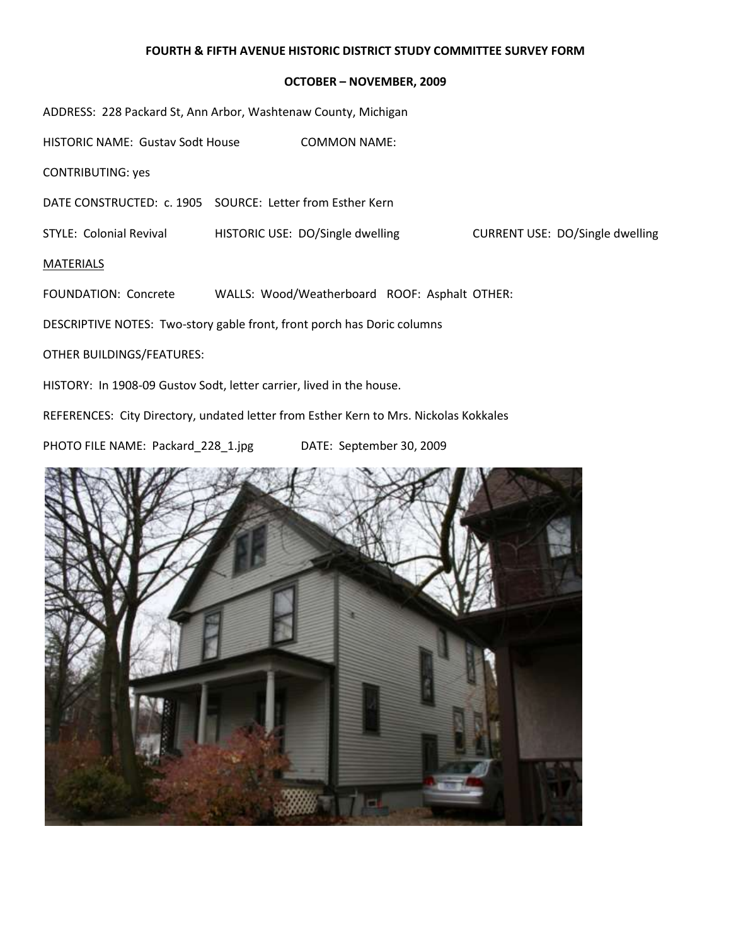#### **OCTOBER – NOVEMBER, 2009**

ADDRESS: 228 Packard St, Ann Arbor, Washtenaw County, Michigan

HISTORIC NAME: Gustav Sodt House COMMON NAME:

CONTRIBUTING: yes

DATE CONSTRUCTED: c. 1905 SOURCE: Letter from Esther Kern

STYLE: Colonial Revival **HISTORIC USE: DO/Single dwelling** CURRENT USE: DO/Single dwelling

#### MATERIALS

FOUNDATION: Concrete WALLS: Wood/Weatherboard ROOF: Asphalt OTHER:

DESCRIPTIVE NOTES: Two-story gable front, front porch has Doric columns

OTHER BUILDINGS/FEATURES:

HISTORY: In 1908-09 Gustov Sodt, letter carrier, lived in the house.

REFERENCES: City Directory, undated letter from Esther Kern to Mrs. Nickolas Kokkales

PHOTO FILE NAME: Packard\_228\_1.jpg DATE: September 30, 2009

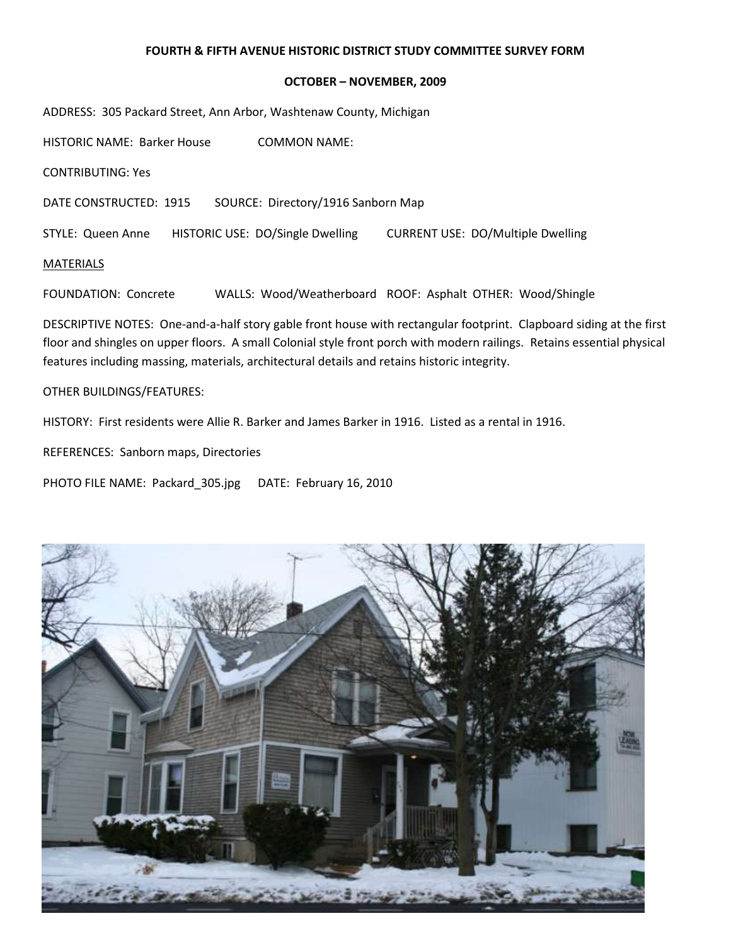#### **OCTOBER – NOVEMBER, 2009**

ADDRESS: 305 Packard Street, Ann Arbor, Washtenaw County, Michigan

HISTORIC NAME: Barker House COMMON NAME:

CONTRIBUTING: Yes

DATE CONSTRUCTED: 1915 SOURCE: Directory/1916 Sanborn Map

STYLE: Queen Anne HISTORIC USE: DO/Single Dwelling CURRENT USE: DO/Multiple Dwelling

### MATERIALS

FOUNDATION: Concrete WALLS: Wood/Weatherboard ROOF: Asphalt OTHER: Wood/Shingle

DESCRIPTIVE NOTES: One-and-a-half story gable front house with rectangular footprint. Clapboard siding at the first floor and shingles on upper floors. A small Colonial style front porch with modern railings. Retains essential physical features including massing, materials, architectural details and retains historic integrity.

#### OTHER BUILDINGS/FEATURES:

HISTORY: First residents were Allie R. Barker and James Barker in 1916. Listed as a rental in 1916.

REFERENCES: Sanborn maps, Directories

PHOTO FILE NAME: Packard\_305.jpg DATE: February 16, 2010

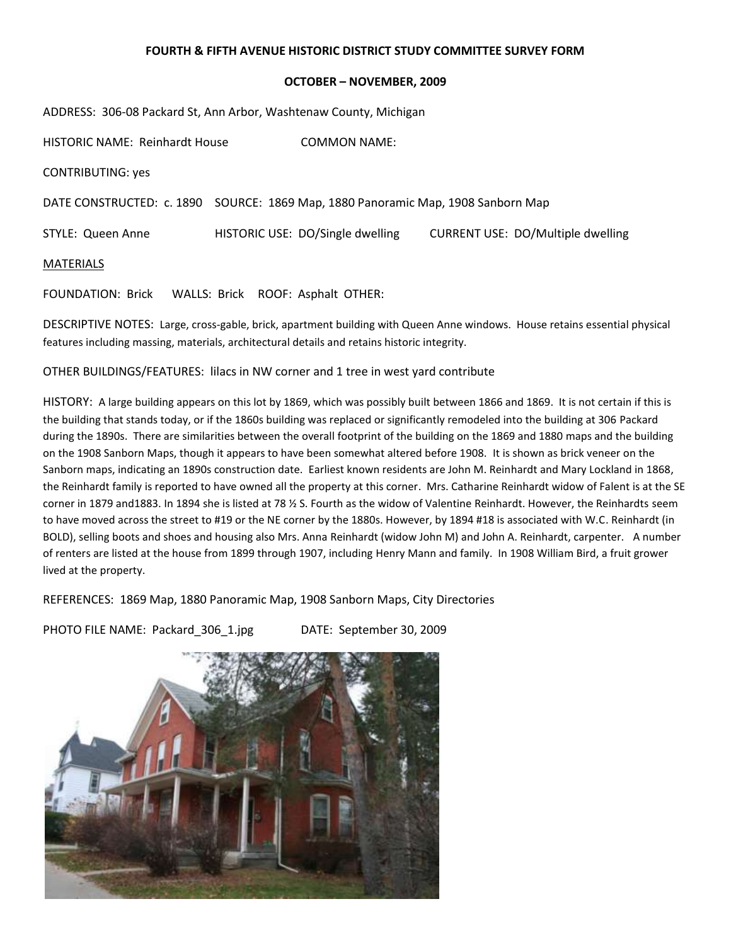#### **OCTOBER – NOVEMBER, 2009**

ADDRESS: 306-08 Packard St, Ann Arbor, Washtenaw County, Michigan

HISTORIC NAME: Reinhardt House COMMON NAME: CONTRIBUTING: yes DATE CONSTRUCTED: c. 1890 SOURCE: 1869 Map, 1880 Panoramic Map, 1908 Sanborn Map STYLE: Queen Anne HISTORIC USE: DO/Single dwelling CURRENT USE: DO/Multiple dwelling MATERIALS

FOUNDATION: Brick WALLS: Brick ROOF: Asphalt OTHER:

DESCRIPTIVE NOTES: Large, cross-gable, brick, apartment building with Queen Anne windows. House retains essential physical features including massing, materials, architectural details and retains historic integrity.

OTHER BUILDINGS/FEATURES: lilacs in NW corner and 1 tree in west yard contribute

HISTORY: A large building appears on this lot by 1869, which was possibly built between 1866 and 1869. It is not certain if this is the building that stands today, or if the 1860s building was replaced or significantly remodeled into the building at 306 Packard during the 1890s. There are similarities between the overall footprint of the building on the 1869 and 1880 maps and the building on the 1908 Sanborn Maps, though it appears to have been somewhat altered before 1908. It is shown as brick veneer on the Sanborn maps, indicating an 1890s construction date. Earliest known residents are John M. Reinhardt and Mary Lockland in 1868, the Reinhardt family is reported to have owned all the property at this corner. Mrs. Catharine Reinhardt widow of Falent is at the SE corner in 1879 and1883. In 1894 she is listed at 78 ½ S. Fourth as the widow of Valentine Reinhardt. However, the Reinhardts seem to have moved across the street to #19 or the NE corner by the 1880s. However, by 1894 #18 is associated with W.C. Reinhardt (in BOLD), selling boots and shoes and housing also Mrs. Anna Reinhardt (widow John M) and John A. Reinhardt, carpenter. A number of renters are listed at the house from 1899 through 1907, including Henry Mann and family. In 1908 William Bird, a fruit grower lived at the property.

REFERENCES: 1869 Map, 1880 Panoramic Map, 1908 Sanborn Maps, City Directories

PHOTO FILE NAME: Packard\_306\_1.jpg DATE: September 30, 2009